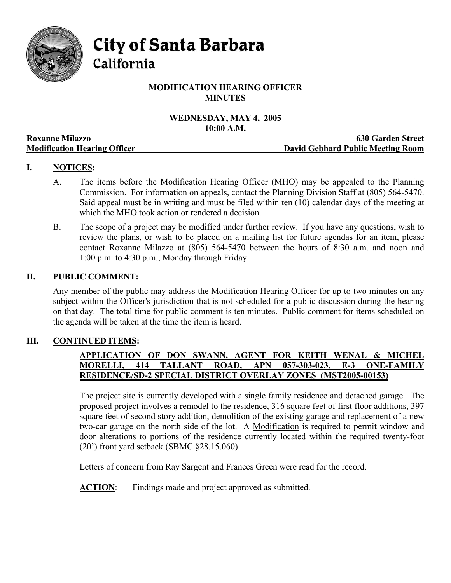

City of Santa Barbara

California

# **MODIFICATION HEARING OFFICER MINUTES**

# **WEDNESDAY, MAY 4, 2005 10:00 A.M.**

|                                     | TAMA TIMP                         |
|-------------------------------------|-----------------------------------|
| <b>Roxanne Milazzo</b>              | <b>630 Garden Street</b>          |
| <b>Modification Hearing Officer</b> | David Gebhard Public Meeting Room |

# **I. NOTICES:**

- A. The items before the Modification Hearing Officer (MHO) may be appealed to the Planning Commission. For information on appeals, contact the Planning Division Staff at (805) 564-5470. Said appeal must be in writing and must be filed within ten (10) calendar days of the meeting at which the MHO took action or rendered a decision.
- B. The scope of a project may be modified under further review. If you have any questions, wish to review the plans, or wish to be placed on a mailing list for future agendas for an item, please contact Roxanne Milazzo at (805) 564-5470 between the hours of 8:30 a.m. and noon and 1:00 p.m. to 4:30 p.m., Monday through Friday.

## **II. PUBLIC COMMENT:**

Any member of the public may address the Modification Hearing Officer for up to two minutes on any subject within the Officer's jurisdiction that is not scheduled for a public discussion during the hearing on that day. The total time for public comment is ten minutes. Public comment for items scheduled on the agenda will be taken at the time the item is heard.

## **III. CONTINUED ITEMS:**

# **APPLICATION OF DON SWANN, AGENT FOR KEITH WENAL & MICHEL MORELLI, 414 TALLANT ROAD, APN 057-303-023, E-3 ONE-FAMILY RESIDENCE/SD-2 SPECIAL DISTRICT OVERLAY ZONES (MST2005-00153)**

The project site is currently developed with a single family residence and detached garage. The proposed project involves a remodel to the residence, 316 square feet of first floor additions, 397 square feet of second story addition, demolition of the existing garage and replacement of a new two-car garage on the north side of the lot. A Modification is required to permit window and door alterations to portions of the residence currently located within the required twenty-foot (20') front yard setback (SBMC §28.15.060).

Letters of concern from Ray Sargent and Frances Green were read for the record.

**ACTION:** Findings made and project approved as submitted.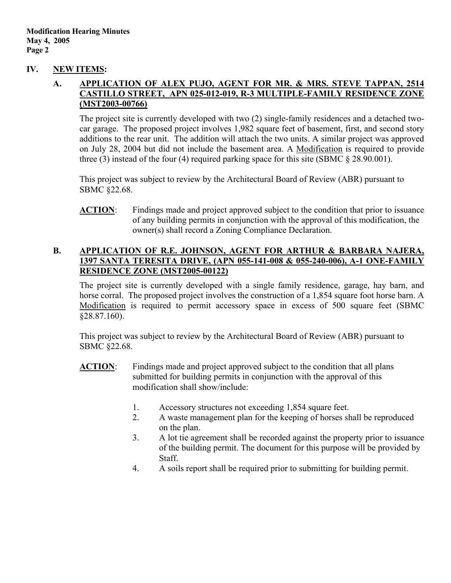#### **IV. NEW ITEMS:**

### **A. APPLICATION OF ALEX PUJO, AGENT FOR MR. & MRS. STEVE TAPPAN, 2514 CASTILLO STREET, APN 025-012-019, R-3 MULTIPLE-FAMILY RESIDENCE ZONE (MST2003-00766)**

The project site is currently developed with two (2) single-family residences and a detached twocar garage. The proposed project involves 1,982 square feet of basement, first, and second story additions to the rear unit. The addition will attach the two units. A similar project was approved on July 28, 2004 but did not include the basement area. A Modification is required to provide three (3) instead of the four (4) required parking space for this site (SBMC  $\S$  28.90.001).

This project was subject to review by the Architectural Board of Review (ABR) pursuant to SBMC §22.68.

**ACTION**: Findings made and project approved subject to the condition that prior to issuance of any building permits in conjunction with the approval of this modification, the owner(s) shall record a Zoning Compliance Declaration.

## **B. APPLICATION OF R.E. JOHNSON, AGENT FOR ARTHUR & BARBARA NAJERA, 1397 SANTA TERESITA DRIVE, (APN 055-141-008 & 055-240-006), A-1 ONE-FAMILY RESIDENCE ZONE (MST2005-00122)**

The project site is currently developed with a single family residence, garage, hay barn, and horse corral. The proposed project involves the construction of a 1,854 square foot horse barn. A Modification is required to permit accessory space in excess of 500 square feet (SBMC §28.87.160).

This project was subject to review by the Architectural Board of Review (ABR) pursuant to SBMC §22.68.

- **ACTION**: Findings made and project approved subject to the condition that all plans submitted for building permits in conjunction with the approval of this modification shall show/include:
	- 1. Accessory structures not exceeding 1,854 square feet.
	- 2. A waste management plan for the keeping of horses shall be reproduced on the plan.
	- 3. A lot tie agreement shall be recorded against the property prior to issuance of the building permit. The document for this purpose will be provided by Staff.
	- 4. A soils report shall be required prior to submitting for building permit.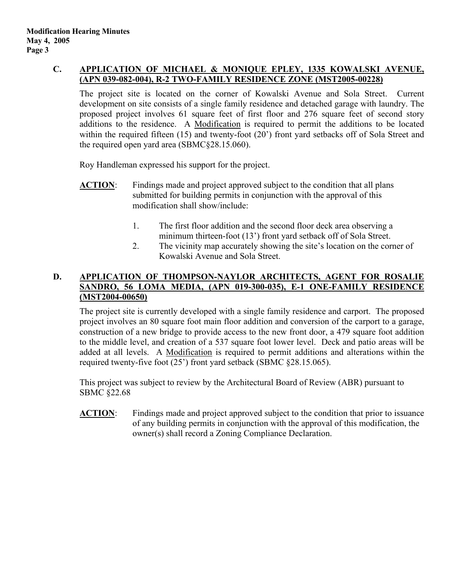# **C. APPLICATION OF MICHAEL & MONIQUE EPLEY, 1335 KOWALSKI AVENUE, (APN 039-082-004), R-2 TWO-FAMILY RESIDENCE ZONE (MST2005-00228)**

The project site is located on the corner of Kowalski Avenue and Sola Street. Current development on site consists of a single family residence and detached garage with laundry. The proposed project involves 61 square feet of first floor and 276 square feet of second story additions to the residence. A Modification is required to permit the additions to be located within the required fifteen (15) and twenty-foot (20') front yard setbacks off of Sola Street and the required open yard area (SBMC§28.15.060).

Roy Handleman expressed his support for the project.

- **ACTION**: Findings made and project approved subject to the condition that all plans submitted for building permits in conjunction with the approval of this modification shall show/include:
	- 1. The first floor addition and the second floor deck area observing a minimum thirteen-foot (13') front yard setback off of Sola Street.
	- 2. The vicinity map accurately showing the site's location on the corner of Kowalski Avenue and Sola Street.

# **D. APPLICATION OF THOMPSON-NAYLOR ARCHITECTS, AGENT FOR ROSALIE SANDRO, 56 LOMA MEDIA, (APN 019-300-035), E-1 ONE-FAMILY RESIDENCE (MST2004-00650)**

The project site is currently developed with a single family residence and carport. The proposed project involves an 80 square foot main floor addition and conversion of the carport to a garage, construction of a new bridge to provide access to the new front door, a 479 square foot addition to the middle level, and creation of a 537 square foot lower level. Deck and patio areas will be added at all levels. A Modification is required to permit additions and alterations within the required twenty-five foot (25') front yard setback (SBMC §28.15.065).

This project was subject to review by the Architectural Board of Review (ABR) pursuant to SBMC §22.68

**ACTION**: Findings made and project approved subject to the condition that prior to issuance of any building permits in conjunction with the approval of this modification, the owner(s) shall record a Zoning Compliance Declaration.